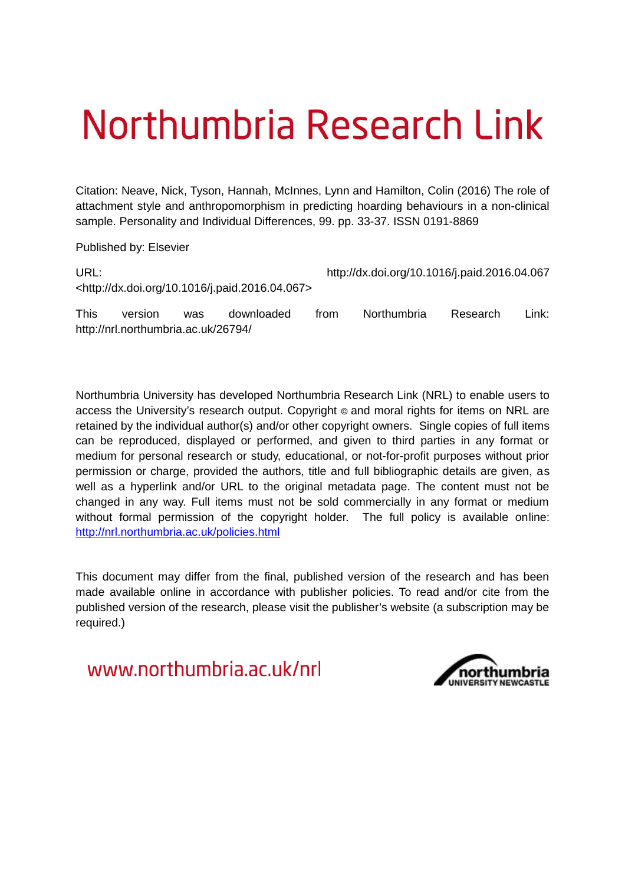# Northumbria Research Link

Citation: Neave, Nick, Tyson, Hannah, McInnes, Lynn and Hamilton, Colin (2016) The role of attachment style and anthropomorphism in predicting hoarding behaviours in a non-clinical sample. Personality and Individual Differences, 99. pp. 33-37. ISSN 0191-8869

Published by: Elsevier

http://nrl.northumbria.ac.uk/26794/

| URL:        |         |     |                                                                |      | http://dx.doi.org/10.1016/j.paid.2016.04.067 |          |       |  |
|-------------|---------|-----|----------------------------------------------------------------|------|----------------------------------------------|----------|-------|--|
|             |         |     | <http: 10.1016="" dx.doi.org="" j.paid.2016.04.067=""></http:> |      |                                              |          |       |  |
| <b>This</b> | version | was | downloaded                                                     | trom | <b>Northumbria</b>                           | Research | ∟ink: |  |

Northumbria University has developed Northumbria Research Link (NRL) to enable users to access the University's research output. Copyright  $\circ$  and moral rights for items on NRL are retained by the individual author(s) and/or other copyright owners. Single copies of full items can be reproduced, displayed or performed, and given to third parties in any format or medium for personal research or study, educational, or not-for-profit purposes without prior permission or charge, provided the authors, title and full bibliographic details are given, as well as a hyperlink and/or URL to the original metadata page. The content must not be changed in any way. Full items must not be sold commercially in any format or medium without formal permission of the copyright holder. The full policy is available online: <http://nrl.northumbria.ac.uk/policies.html>

This document may differ from the final, published version of the research and has been made available online in accordance with publisher policies. To read and/or cite from the published version of the research, please visit the publisher's website (a subscription may be required.)

www.northumbria.ac.uk/nrl

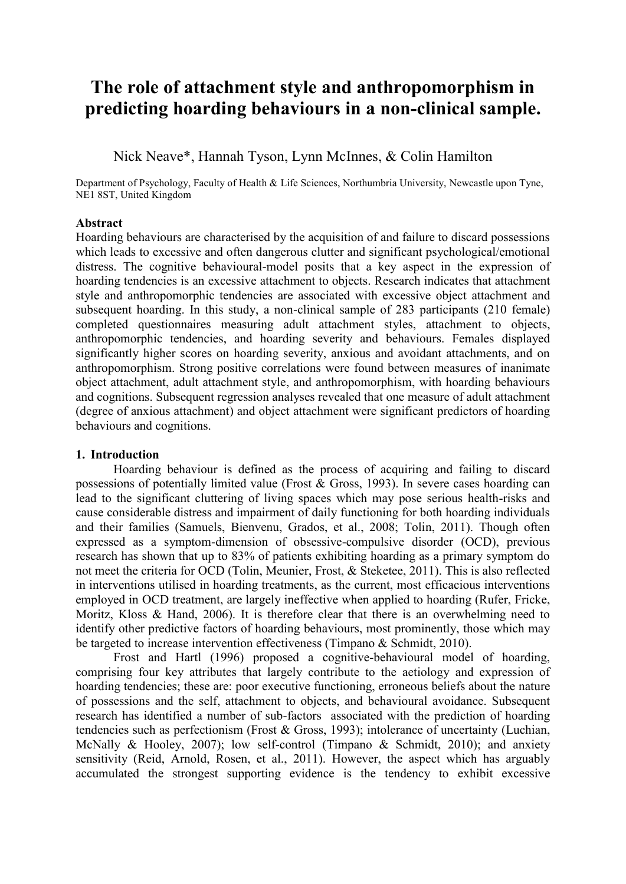# **The role of attachment style and anthropomorphism in predicting hoarding behaviours in a non-clinical sample.**

Nick Neave\*, Hannah Tyson, Lynn McInnes, & Colin Hamilton

Department of Psychology, Faculty of Health & Life Sciences, Northumbria University, Newcastle upon Tyne, NE1 8ST, United Kingdom

#### **Abstract**

Hoarding behaviours are characterised by the acquisition of and failure to discard possessions which leads to excessive and often dangerous clutter and significant psychological/emotional distress. The cognitive behavioural-model posits that a key aspect in the expression of hoarding tendencies is an excessive attachment to objects. Research indicates that attachment style and anthropomorphic tendencies are associated with excessive object attachment and subsequent hoarding. In this study, a non-clinical sample of 283 participants (210 female) completed questionnaires measuring adult attachment styles, attachment to objects, anthropomorphic tendencies, and hoarding severity and behaviours. Females displayed significantly higher scores on hoarding severity, anxious and avoidant attachments, and on anthropomorphism. Strong positive correlations were found between measures of inanimate object attachment, adult attachment style, and anthropomorphism, with hoarding behaviours and cognitions. Subsequent regression analyses revealed that one measure of adult attachment (degree of anxious attachment) and object attachment were significant predictors of hoarding behaviours and cognitions.

#### **1. Introduction**

Hoarding behaviour is defined as the process of acquiring and failing to discard possessions of potentially limited value (Frost & Gross, 1993). In severe cases hoarding can lead to the significant cluttering of living spaces which may pose serious health-risks and cause considerable distress and impairment of daily functioning for both hoarding individuals and their families (Samuels, Bienvenu, Grados, et al., 2008; Tolin, 2011). Though often expressed as a symptom-dimension of obsessive-compulsive disorder (OCD), previous research has shown that up to 83% of patients exhibiting hoarding as a primary symptom do not meet the criteria for OCD (Tolin, Meunier, Frost, & Steketee, 2011). This is also reflected in interventions utilised in hoarding treatments, as the current, most efficacious interventions employed in OCD treatment, are largely ineffective when applied to hoarding (Rufer, Fricke, Moritz, Kloss & Hand, 2006). It is therefore clear that there is an overwhelming need to identify other predictive factors of hoarding behaviours, most prominently, those which may be targeted to increase intervention effectiveness (Timpano & Schmidt, 2010).

Frost and Hartl (1996) proposed a cognitive-behavioural model of hoarding, comprising four key attributes that largely contribute to the aetiology and expression of hoarding tendencies; these are: poor executive functioning, erroneous beliefs about the nature of possessions and the self, attachment to objects, and behavioural avoidance. Subsequent research has identified a number of sub-factors associated with the prediction of hoarding tendencies such as perfectionism (Frost & Gross, 1993); intolerance of uncertainty (Luchian, McNally & Hooley, 2007); low self-control (Timpano & Schmidt, 2010); and anxiety sensitivity (Reid, Arnold, Rosen, et al., 2011). However, the aspect which has arguably accumulated the strongest supporting evidence is the tendency to exhibit excessive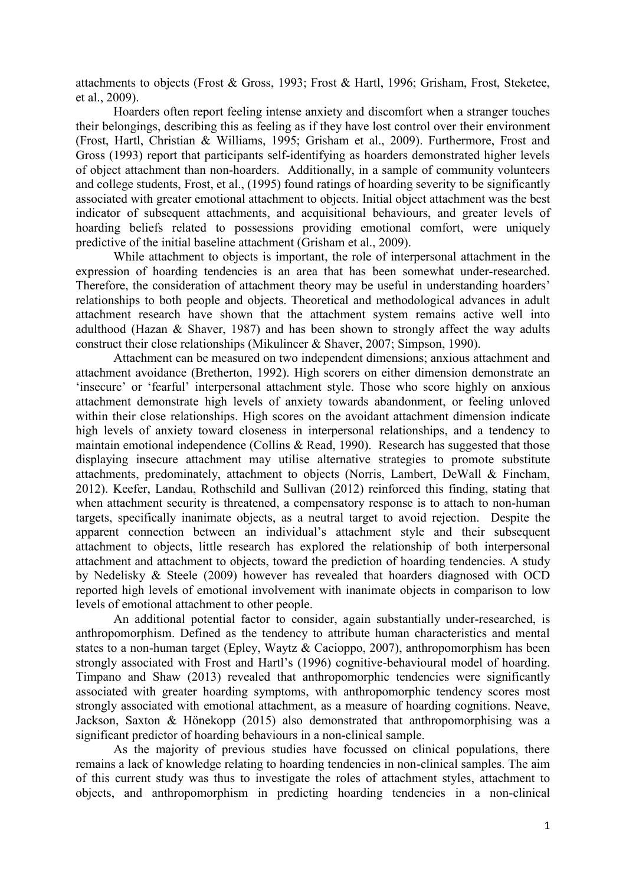attachments to objects (Frost & Gross, 1993; Frost & Hartl, 1996; Grisham, Frost, Steketee, et al., 2009).

Hoarders often report feeling intense anxiety and discomfort when a stranger touches their belongings, describing this as feeling as if they have lost control over their environment (Frost, Hartl, Christian & Williams, 1995; Grisham et al., 2009). Furthermore, Frost and Gross (1993) report that participants self-identifying as hoarders demonstrated higher levels of object attachment than non-hoarders. Additionally, in a sample of community volunteers and college students, Frost, et al., (1995) found ratings of hoarding severity to be significantly associated with greater emotional attachment to objects. Initial object attachment was the best indicator of subsequent attachments, and acquisitional behaviours, and greater levels of hoarding beliefs related to possessions providing emotional comfort, were uniquely predictive of the initial baseline attachment (Grisham et al., 2009).

While attachment to objects is important, the role of interpersonal attachment in the expression of hoarding tendencies is an area that has been somewhat under-researched. Therefore, the consideration of attachment theory may be useful in understanding hoarders' relationships to both people and objects. Theoretical and methodological advances in adult attachment research have shown that the attachment system remains active well into adulthood (Hazan & Shaver, 1987) and has been shown to strongly affect the way adults construct their close relationships (Mikulincer & Shaver, 2007; Simpson, 1990).

Attachment can be measured on two independent dimensions; anxious attachment and attachment avoidance (Bretherton, 1992). High scorers on either dimension demonstrate an 'insecure' or 'fearful' interpersonal attachment style. Those who score highly on anxious attachment demonstrate high levels of anxiety towards abandonment, or feeling unloved within their close relationships. High scores on the avoidant attachment dimension indicate high levels of anxiety toward closeness in interpersonal relationships, and a tendency to maintain emotional independence (Collins & Read, 1990). Research has suggested that those displaying insecure attachment may utilise alternative strategies to promote substitute attachments, predominately, attachment to objects (Norris, Lambert, DeWall & Fincham, 2012). Keefer, Landau, Rothschild and Sullivan (2012) reinforced this finding, stating that when attachment security is threatened, a compensatory response is to attach to non-human targets, specifically inanimate objects, as a neutral target to avoid rejection. Despite the apparent connection between an individual's attachment style and their subsequent attachment to objects, little research has explored the relationship of both interpersonal attachment and attachment to objects, toward the prediction of hoarding tendencies. A study by Nedelisky & Steele (2009) however has revealed that hoarders diagnosed with OCD reported high levels of emotional involvement with inanimate objects in comparison to low levels of emotional attachment to other people.

An additional potential factor to consider, again substantially under-researched, is anthropomorphism. Defined as the tendency to attribute human characteristics and mental states to a non-human target (Epley, Waytz & Cacioppo, 2007), anthropomorphism has been strongly associated with Frost and Hartl's (1996) cognitive-behavioural model of hoarding. Timpano and Shaw (2013) revealed that anthropomorphic tendencies were significantly associated with greater hoarding symptoms, with anthropomorphic tendency scores most strongly associated with emotional attachment, as a measure of hoarding cognitions. Neave, Jackson, Saxton & Hönekopp (2015) also demonstrated that anthropomorphising was a significant predictor of hoarding behaviours in a non-clinical sample.

As the majority of previous studies have focussed on clinical populations, there remains a lack of knowledge relating to hoarding tendencies in non-clinical samples. The aim of this current study was thus to investigate the roles of attachment styles, attachment to objects, and anthropomorphism in predicting hoarding tendencies in a non-clinical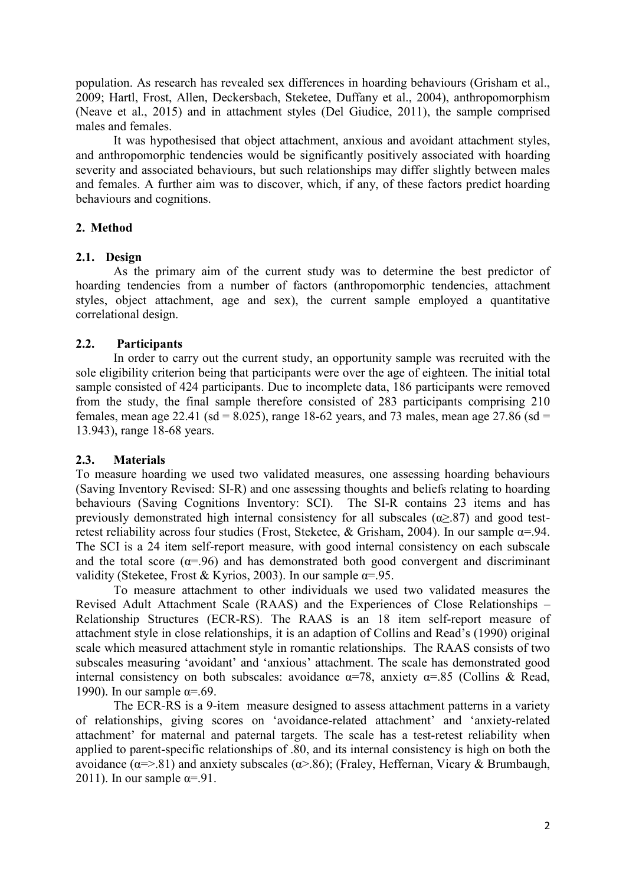population. As research has revealed sex differences in hoarding behaviours (Grisham et al., 2009; Hartl, Frost, Allen, Deckersbach, Steketee, Duffany et al., 2004), anthropomorphism (Neave et al., 2015) and in attachment styles (Del Giudice, 2011), the sample comprised males and females.

It was hypothesised that object attachment, anxious and avoidant attachment styles, and anthropomorphic tendencies would be significantly positively associated with hoarding severity and associated behaviours, but such relationships may differ slightly between males and females. A further aim was to discover, which, if any, of these factors predict hoarding behaviours and cognitions.

## **2. Method**

#### **2.1. Design**

As the primary aim of the current study was to determine the best predictor of hoarding tendencies from a number of factors (anthropomorphic tendencies, attachment styles, object attachment, age and sex), the current sample employed a quantitative correlational design.

## **2.2. Participants**

In order to carry out the current study, an opportunity sample was recruited with the sole eligibility criterion being that participants were over the age of eighteen. The initial total sample consisted of 424 participants. Due to incomplete data, 186 participants were removed from the study, the final sample therefore consisted of 283 participants comprising 210 females, mean age 22.41 (sd = 8.025), range 18-62 years, and 73 males, mean age 27.86 (sd = 13.943), range 18-68 years.

# **2.3. Materials**

To measure hoarding we used two validated measures, one assessing hoarding behaviours (Saving Inventory Revised: SI-R) and one assessing thoughts and beliefs relating to hoarding behaviours (Saving Cognitions Inventory: SCI). The SI-R contains 23 items and has previously demonstrated high internal consistency for all subscales  $(\alpha > 87)$  and good testretest reliability across four studies (Frost, Steketee, & Grisham, 2004). In our sample  $\alpha$ =.94. The SCI is a 24 item self-report measure, with good internal consistency on each subscale and the total score ( $\alpha = .96$ ) and has demonstrated both good convergent and discriminant validity (Steketee, Frost & Kyrios, 2003). In our sample  $\alpha = 95$ .

To measure attachment to other individuals we used two validated measures the Revised Adult Attachment Scale (RAAS) and the Experiences of Close Relationships – Relationship Structures (ECR-RS). The RAAS is an 18 item self-report measure of attachment style in close relationships, it is an adaption of Collins and Read's (1990) original scale which measured attachment style in romantic relationships. The RAAS consists of two subscales measuring 'avoidant' and 'anxious' attachment. The scale has demonstrated good internal consistency on both subscales: avoidance  $\alpha$ =78, anxiety  $\alpha$ =.85 (Collins & Read, 1990). In our sample  $\alpha = .69$ .

The ECR-RS is a 9-item measure designed to assess attachment patterns in a variety of relationships, giving scores on 'avoidance-related attachment' and 'anxiety-related attachment' for maternal and paternal targets. The scale has a test-retest reliability when applied to parent-specific relationships of .80, and its internal consistency is high on both the avoidance  $(α=>0.81)$  and anxiety subscales  $(α>=0.86)$ ; (Fraley, Heffernan, Vicary & Brumbaugh, 2011). In our sample  $\alpha = -91$ .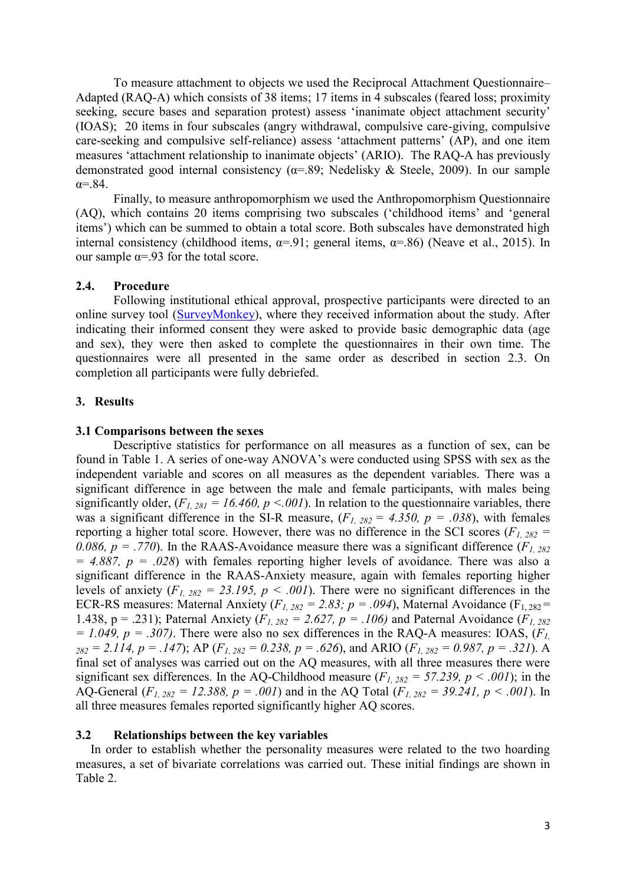To measure attachment to objects we used the Reciprocal Attachment Questionnaire– Adapted (RAQ-A) which consists of 38 items; 17 items in 4 subscales (feared loss; proximity seeking, secure bases and separation protest) assess 'inanimate object attachment security' (IOAS); 20 items in four subscales (angry withdrawal, compulsive care-giving, compulsive care-seeking and compulsive self-reliance) assess 'attachment patterns' (AP), and one item measures 'attachment relationship to inanimate objects' (ARIO). The RAQ-A has previously demonstrated good internal consistency ( $\alpha$ =.89; Nedelisky & Steele, 2009). In our sample  $\alpha$ = 84

Finally, to measure anthropomorphism we used the Anthropomorphism Questionnaire (AQ), which contains 20 items comprising two subscales ('childhood items' and 'general items') which can be summed to obtain a total score. Both subscales have demonstrated high internal consistency (childhood items,  $\alpha$ =.91; general items,  $\alpha$ =.86) (Neave et al., 2015). In our sample  $\alpha = .93$  for the total score.

#### **2.4. Procedure**

Following institutional ethical approval, prospective participants were directed to an online survey tool [\(SurveyMonkey\)](http://surveymonkey/), where they received information about the study. After indicating their informed consent they were asked to provide basic demographic data (age and sex), they were then asked to complete the questionnaires in their own time. The questionnaires were all presented in the same order as described in section 2.3. On completion all participants were fully debriefed.

#### **3. Results**

#### **3.1 Comparisons between the sexes**

Descriptive statistics for performance on all measures as a function of sex, can be found in Table 1. A series of one-way ANOVA's were conducted using SPSS with sex as the independent variable and scores on all measures as the dependent variables. There was a significant difference in age between the male and female participants, with males being significantly older,  $(F_{I, 281} = 16.460, p \le 0.001)$ . In relation to the questionnaire variables, there was a significant difference in the SI-R measure,  $(F_1, 282 = 4.350, p = .038)$ , with females reporting a higher total score. However, there was no difference in the SCI scores ( $F<sub>1, 282</sub>$  = *0.086, p = .770).* In the RAAS-Avoidance measure there was a significant difference ( $F_1$ , 282  $= 4.887$ ,  $p = .028$ ) with females reporting higher levels of avoidance. There was also a significant difference in the RAAS-Anxiety measure, again with females reporting higher levels of anxiety  $(F_1, 282 = 23.195, p \le .001)$ . There were no significant differences in the ECR-RS measures: Maternal Anxiety ( $F_{1, 282} = 2.83$ ;  $p = .094$ ), Maternal Avoidance ( $F_{1, 282} =$ 1.438, p = .231); Paternal Anxiety  $(F_1, 282) = 2.627$ ,  $p = .106$  and Paternal Avoidance  $(F_1, 282)$ *= 1.049, p = .307)*. There were also no sex differences in the RAQ-A measures: IOAS,  $(F<sub>I</sub>)$  $282 = 2.114$ ,  $p = .147$ ); AP ( $F_{1, 282} = 0.238$ ,  $p = .626$ ), and ARIO ( $F_{1, 282} = 0.987$ ,  $p = .321$ ). A final set of analyses was carried out on the AQ measures, with all three measures there were significant sex differences. In the AQ-Childhood measure  $(F_1, 282 = 57.239, p \lt 0.001)$ ; in the AQ-General ( $F_{1, 282} = 12.388$ ,  $p = .001$ ) and in the AQ Total ( $F_{1, 282} = 39.241$ ,  $p < .001$ ). In all three measures females reported significantly higher AQ scores.

#### **3.2 Relationships between the key variables**

In order to establish whether the personality measures were related to the two hoarding measures, a set of bivariate correlations was carried out. These initial findings are shown in Table 2.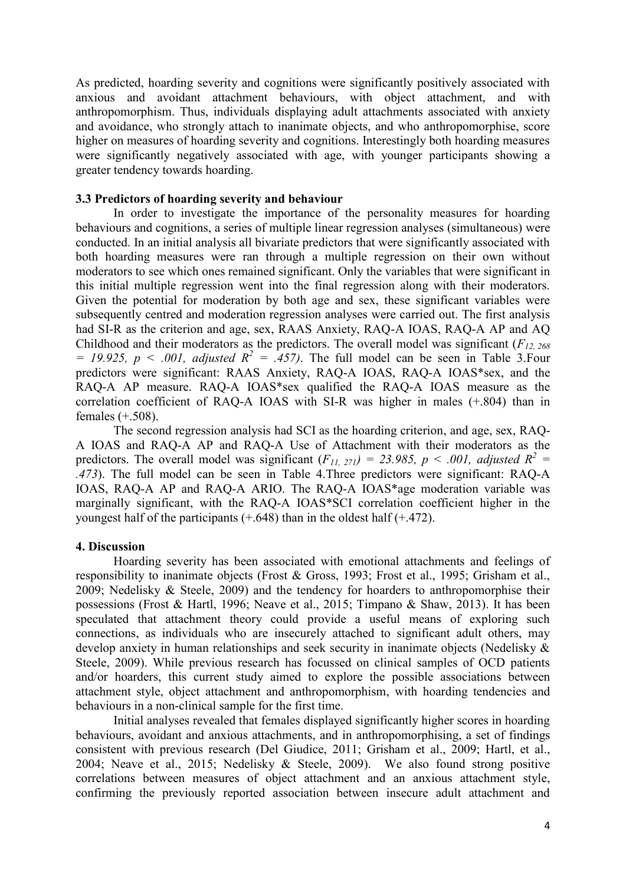As predicted, hoarding severity and cognitions were significantly positively associated with anxious and avoidant attachment behaviours, with object attachment, and with anthropomorphism. Thus, individuals displaying adult attachments associated with anxiety and avoidance, who strongly attach to inanimate objects, and who anthropomorphise, score higher on measures of hoarding severity and cognitions. Interestingly both hoarding measures were significantly negatively associated with age, with younger participants showing a greater tendency towards hoarding.

#### **3.3 Predictors of hoarding severity and behaviour**

In order to investigate the importance of the personality measures for hoarding behaviours and cognitions, a series of multiple linear regression analyses (simultaneous) were conducted. In an initial analysis all bivariate predictors that were significantly associated with both hoarding measures were ran through a multiple regression on their own without moderators to see which ones remained significant. Only the variables that were significant in this initial multiple regression went into the final regression along with their moderators. Given the potential for moderation by both age and sex, these significant variables were subsequently centred and moderation regression analyses were carried out. The first analysis had SI-R as the criterion and age, sex, RAAS Anxiety, RAQ-A IOAS, RAQ-A AP and AQ Childhood and their moderators as the predictors. The overall model was significant (*F12, 268*  $= 19.925$ ,  $p < .001$ , *adjusted*  $R^2 = .457$ ). The full model can be seen in Table 3. Four predictors were significant: RAAS Anxiety, RAQ-A IOAS, RAQ-A IOAS\*sex, and the RAQ-A AP measure. RAQ-A IOAS\*sex qualified the RAQ-A IOAS measure as the correlation coefficient of RAQ-A IOAS with SI-R was higher in males (+.804) than in females (+.508).

The second regression analysis had SCI as the hoarding criterion, and age, sex, RAQ-A IOAS and RAQ-A AP and RAQ-A Use of Attachment with their moderators as the predictors. The overall model was significant  $(F_{11, 271}) = 23.985$ ,  $p < .001$ , adjusted  $R^2 =$ *.473*). The full model can be seen in Table 4.Three predictors were significant: RAQ-A IOAS, RAQ-A AP and RAQ-A ARIO. The RAQ-A IOAS\*age moderation variable was marginally significant, with the RAQ-A IOAS\*SCI correlation coefficient higher in the youngest half of the participants  $(+.648)$  than in the oldest half  $(+.472)$ .

#### **4. Discussion**

Hoarding severity has been associated with emotional attachments and feelings of responsibility to inanimate objects (Frost & Gross, 1993; Frost et al., 1995; Grisham et al., 2009; Nedelisky & Steele, 2009) and the tendency for hoarders to anthropomorphise their possessions (Frost & Hartl, 1996; Neave et al., 2015; Timpano & Shaw, 2013). It has been speculated that attachment theory could provide a useful means of exploring such connections, as individuals who are insecurely attached to significant adult others, may develop anxiety in human relationships and seek security in inanimate objects (Nedelisky & Steele, 2009). While previous research has focussed on clinical samples of OCD patients and/or hoarders, this current study aimed to explore the possible associations between attachment style, object attachment and anthropomorphism, with hoarding tendencies and behaviours in a non-clinical sample for the first time.

Initial analyses revealed that females displayed significantly higher scores in hoarding behaviours, avoidant and anxious attachments, and in anthropomorphising, a set of findings consistent with previous research (Del Giudice, 2011; Grisham et al., 2009; Hartl, et al., 2004; Neave et al., 2015; Nedelisky & Steele, 2009). We also found strong positive correlations between measures of object attachment and an anxious attachment style, confirming the previously reported association between insecure adult attachment and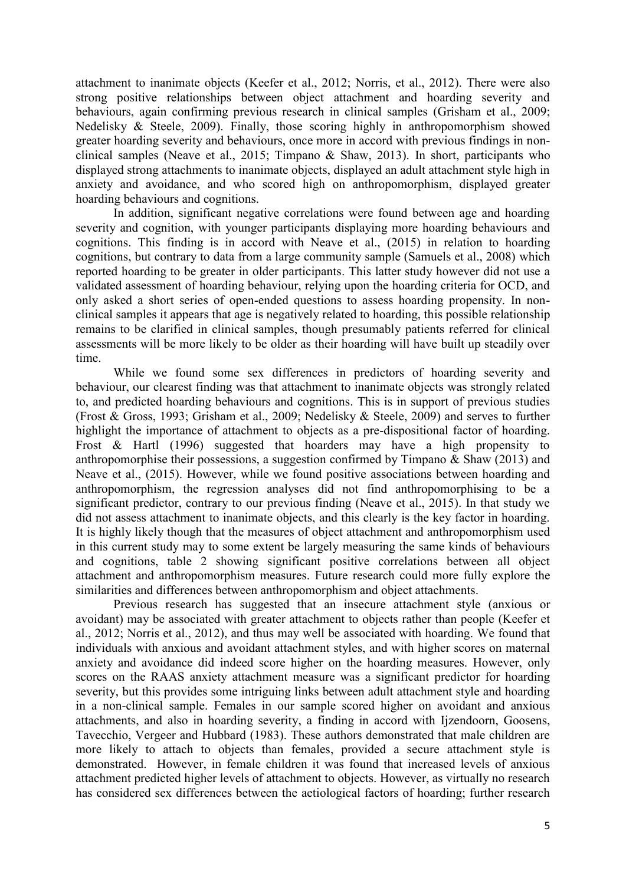attachment to inanimate objects (Keefer et al., 2012; Norris, et al., 2012). There were also strong positive relationships between object attachment and hoarding severity and behaviours, again confirming previous research in clinical samples (Grisham et al., 2009; Nedelisky & Steele, 2009). Finally, those scoring highly in anthropomorphism showed greater hoarding severity and behaviours, once more in accord with previous findings in nonclinical samples (Neave et al., 2015; Timpano & Shaw, 2013). In short, participants who displayed strong attachments to inanimate objects, displayed an adult attachment style high in anxiety and avoidance, and who scored high on anthropomorphism, displayed greater hoarding behaviours and cognitions.

In addition, significant negative correlations were found between age and hoarding severity and cognition, with younger participants displaying more hoarding behaviours and cognitions. This finding is in accord with Neave et al., (2015) in relation to hoarding cognitions, but contrary to data from a large community sample (Samuels et al., 2008) which reported hoarding to be greater in older participants. This latter study however did not use a validated assessment of hoarding behaviour, relying upon the hoarding criteria for OCD, and only asked a short series of open-ended questions to assess hoarding propensity. In nonclinical samples it appears that age is negatively related to hoarding, this possible relationship remains to be clarified in clinical samples, though presumably patients referred for clinical assessments will be more likely to be older as their hoarding will have built up steadily over time.

While we found some sex differences in predictors of hoarding severity and behaviour, our clearest finding was that attachment to inanimate objects was strongly related to, and predicted hoarding behaviours and cognitions. This is in support of previous studies (Frost & Gross, 1993; Grisham et al., 2009; Nedelisky & Steele, 2009) and serves to further highlight the importance of attachment to objects as a pre-dispositional factor of hoarding. Frost & Hartl (1996) suggested that hoarders may have a high propensity to anthropomorphise their possessions, a suggestion confirmed by Timpano  $\&$  Shaw (2013) and Neave et al., (2015). However, while we found positive associations between hoarding and anthropomorphism, the regression analyses did not find anthropomorphising to be a significant predictor, contrary to our previous finding (Neave et al., 2015). In that study we did not assess attachment to inanimate objects, and this clearly is the key factor in hoarding. It is highly likely though that the measures of object attachment and anthropomorphism used in this current study may to some extent be largely measuring the same kinds of behaviours and cognitions, table 2 showing significant positive correlations between all object attachment and anthropomorphism measures. Future research could more fully explore the similarities and differences between anthropomorphism and object attachments.

Previous research has suggested that an insecure attachment style (anxious or avoidant) may be associated with greater attachment to objects rather than people (Keefer et al., 2012; Norris et al., 2012), and thus may well be associated with hoarding. We found that individuals with anxious and avoidant attachment styles, and with higher scores on maternal anxiety and avoidance did indeed score higher on the hoarding measures. However, only scores on the RAAS anxiety attachment measure was a significant predictor for hoarding severity, but this provides some intriguing links between adult attachment style and hoarding in a non-clinical sample. Females in our sample scored higher on avoidant and anxious attachments, and also in hoarding severity, a finding in accord with Ijzendoorn, Goosens, Tavecchio, Vergeer and Hubbard (1983). These authors demonstrated that male children are more likely to attach to objects than females, provided a secure attachment style is demonstrated. However, in female children it was found that increased levels of anxious attachment predicted higher levels of attachment to objects. However, as virtually no research has considered sex differences between the aetiological factors of hoarding; further research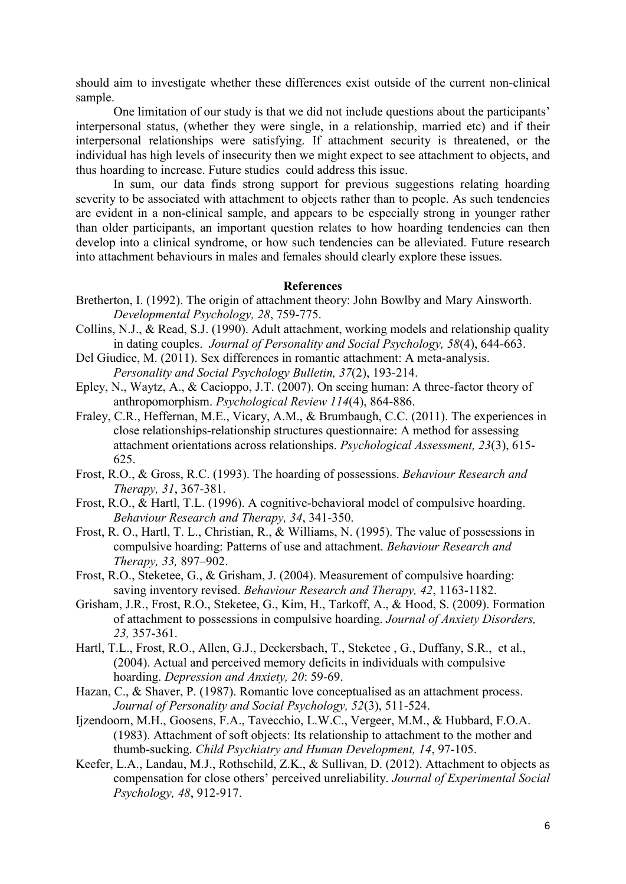should aim to investigate whether these differences exist outside of the current non-clinical sample.

One limitation of our study is that we did not include questions about the participants' interpersonal status, (whether they were single, in a relationship, married etc) and if their interpersonal relationships were satisfying. If attachment security is threatened, or the individual has high levels of insecurity then we might expect to see attachment to objects, and thus hoarding to increase. Future studies could address this issue.

In sum, our data finds strong support for previous suggestions relating hoarding severity to be associated with attachment to objects rather than to people. As such tendencies are evident in a non-clinical sample, and appears to be especially strong in younger rather than older participants, an important question relates to how hoarding tendencies can then develop into a clinical syndrome, or how such tendencies can be alleviated. Future research into attachment behaviours in males and females should clearly explore these issues.

#### **References**

- Bretherton, I. (1992). The origin of attachment theory: John Bowlby and Mary Ainsworth. *Developmental Psychology, 28*, 759-775.
- Collins, N.J., & Read, S.J. (1990). Adult attachment, working models and relationship quality in dating couples. *Journal of Personality and Social Psychology, 58*(4), 644-663.
- Del Giudice, M. (2011). Sex differences in romantic attachment: A meta-analysis. *Personality and Social Psychology Bulletin, 37*(2), 193-214.
- Epley, N., Waytz, A., & Cacioppo, J.T. (2007). On seeing human: A three-factor theory of anthropomorphism. *Psychological Review 114*(4), 864-886.
- Fraley, C.R., Heffernan, M.E., Vicary, A.M., & Brumbaugh, C.C. (2011). The experiences in close relationships-relationship structures questionnaire: A method for assessing attachment orientations across relationships. *Psychological Assessment, 23*(3), 615- 625.
- Frost, R.O., & Gross, R.C. (1993). The hoarding of possessions. *Behaviour Research and Therapy, 31*, 367-381.
- Frost, R.O., & Hartl, T.L. (1996). A cognitive-behavioral model of compulsive hoarding. *Behaviour Research and Therapy, 34*, 341-350.
- Frost, R. O., Hartl, T. L., Christian, R., & Williams, N. (1995). The value of possessions in compulsive hoarding: Patterns of use and attachment. *Behaviour Research and Therapy, 33,* 897–902.
- Frost, R.O., Steketee, G., & Grisham, J. (2004). Measurement of compulsive hoarding: saving inventory revised. *Behaviour Research and Therapy, 42*, 1163-1182.
- Grisham, J.R., Frost, R.O., Steketee, G., Kim, H., Tarkoff, A., & Hood, S. (2009). Formation of attachment to possessions in compulsive hoarding. *Journal of Anxiety Disorders, 23,* 357-361.
- Hartl, T.L., Frost, R.O., Allen, G.J., Deckersbach, T., Steketee , G., Duffany, S.R., et al., (2004). Actual and perceived memory deficits in individuals with compulsive hoarding. *Depression and Anxiety, 20*: 59-69.
- Hazan, C., & Shaver, P. (1987). Romantic love conceptualised as an attachment process. *Journal of Personality and Social Psychology, 52*(3), 511-524.
- Ijzendoorn, M.H., Goosens, F.A., Tavecchio, L.W.C., Vergeer, M.M., & Hubbard, F.O.A. (1983). Attachment of soft objects: Its relationship to attachment to the mother and thumb-sucking. *Child Psychiatry and Human Development, 14*, 97-105.
- Keefer, L.A., Landau, M.J., Rothschild, Z.K., & Sullivan, D. (2012). Attachment to objects as compensation for close others' perceived unreliability. *Journal of Experimental Social Psychology, 48*, 912-917.